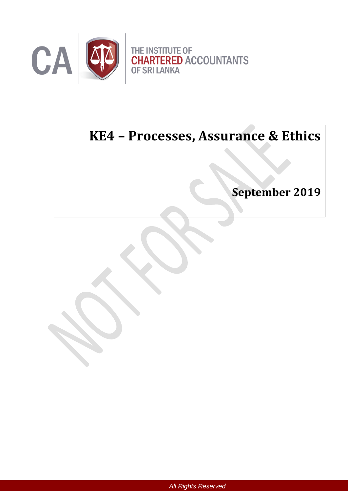

# **KE4 – Processes, Assurance & Ethics**

Ĩ.

**September 2019**

*All Rights Reserved*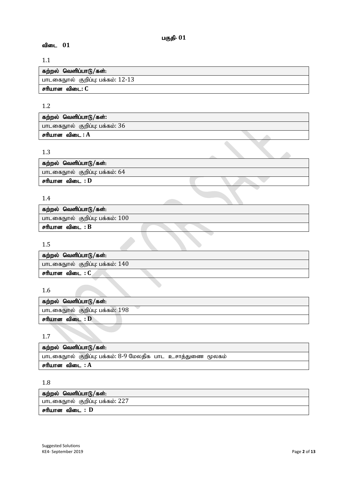# பகுதி-  $01$

# விடை 01

## 1.1

| கற்றல் வெளிப்பாடு/கள்:            |
|-----------------------------------|
| பாடகைநூல் குறிப்பு: பக்கம்: 12-13 |
| சரியான விடை: C                    |

# 1.2

| பாடகைநூல் குறிப்பு: பக்கம்: $36$ |  |
|----------------------------------|--|
|                                  |  |
| சரியான விடை : A                  |  |

# 1.3

| ் கற்றல் வெளிப்பாடு/கள்:       |  |  |
|--------------------------------|--|--|
| பாடகைநூல் குறிப்பு: பக்கம்: 64 |  |  |
| சரியான விடை : D                |  |  |

# 1.4

| கற்றல் வெளிப்பாடு/கள்:            |  |
|-----------------------------------|--|
| பாடகைநூல் குறிப்பு: பக்கம்: $100$ |  |
| சரியான விடை : B                   |  |
|                                   |  |

# 1.5

| கற்றல் வெளிப்பாடு/கள்:            |
|-----------------------------------|
| பாடகைநூல் குறிப்பு: பக்கம்: $140$ |
| சரியான விடை : C                   |

## 1.6

| கற்றல் வெளிப்பாடு/கள்:          |
|---------------------------------|
| பாடகைநூல் குறிப்பு: பக்கம்: 198 |
| சரியான விடை : D                 |
|                                 |

1.7

| கற்றல் வெளிப்பாடு/கள்:                                      |
|-------------------------------------------------------------|
| பாடகைநூல் குறிப்பு: பக்கம்: 8-9 மேலதிக பாட உசாத்துணை மூலகம் |
| சரியான விடை : A                                             |

# 1.8

| கற்றல் வெளிப்பாடு/கள்:          |
|---------------------------------|
| பாடகைநூல் குறிப்பு: பக்கம்: 227 |
| சரியான விடை : D                 |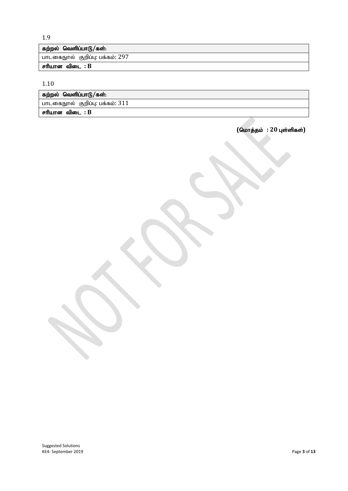1.9

| கற்றல் வெளிப்பாடு/கள்:          |
|---------------------------------|
| பாடகைநூல் குறிப்பு: பக்கம்: 297 |
| சரியான விடை : B                 |

1.10

| கற்றல் வெளிப்பாடு/கள்:            |
|-----------------------------------|
| பாடகைநூல் குறிப்பு: பக்கம்: $311$ |
| சரியான விடை : B                   |

 $($ மொத்தம் : 20 புள்ளிகள்)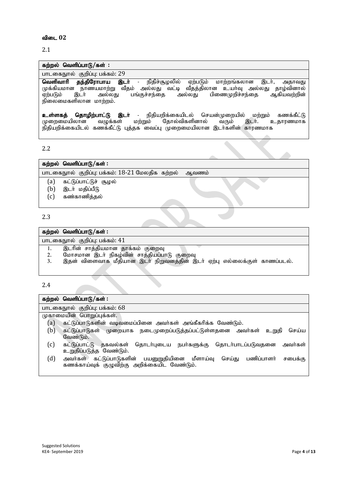#### விடை 02

## 2.1

# கற்றல் வெளிப்பாடு/கள் : பாடகைநூல் குறிப்பு: பக்கம்: 29

**வெளிவாரி தந்திரோபாய இடா்** - நிதிச்சூழலில் ஏற்படும் மாற்றங்கலான இடா், அதாவது முக்கியமான நாணயமாற்று வீதம் அல்லது வட்டி வீதத்திலான உயர்வு அல்லது தாழ்வினால் ஏற்படும் இடா் அல்லது பங்குச்சந்தை அல்லது பிணைமுறிச்சந்தை ஆகியவற்றின்  $\widetilde{\mathbf{B}}$ லைமைகளிலான மாற்றம்.

<mark>உள்ளகத் தொழிற்பாட்டு இடர்</mark> - நிதியறிக்கையிடல் செயன்முறையில் மற்றும் கணக்கீட்டு<br>முறைமையிலான வழுக்கள் மற்றும் தோல்விகளினால் வரும் இடர். உதாரணமாக முறைமையிலான நிதியறிக்கையிடல் கணக்கீட்டு புத்தக வைப்பு முறைமையிலான இடா்களின் காரணமாக

2.2

| கற்றல் வெளிப்பாடு/கள் :                                                     |       |
|-----------------------------------------------------------------------------|-------|
| பாடகைநூல் குறிப்பு: பக்கம்: 18-21 மேலதிக கற்றல்                             | ஆவணம் |
| கட்டுப்பாட்டுச் சூழல்<br>(a)<br>இடா் மதிப்பீடு<br>b)<br>கண்காணித்தல்<br>[C] |       |

#### 2.3

## கற்றல் வெளிப்பாடு/கள் : பாடகைநூல் குறிப்பு: பக்கம்: 41 1. இடாின் சாத்தியமான தாக்கம் குறைவு<br>2. மோசமான இடா் நிகழ்வின் சாத்தியப்பா 2. Nkhrkhd ,lh; epfo;tpd; rhj;jpag;ghL FiwT இதன் விளைவாக மீதியான இடர் நிறுவனத்தின் இடர் ஏற்பு எல்லைக்குள் காணப்படல்.

2.4

| கற்றல் வெளிப்பாடு/கள் :                                                                                                            |
|------------------------------------------------------------------------------------------------------------------------------------|
| பாடகைநூல் குறிப்பு: பக்கம்: 68                                                                                                     |
| முகாமையின் பொறுப்புக்கள்.                                                                                                          |
| கட்டுப்பாடுகளின் வடிவமைப்பினை அவர்கள் அங்கீகரிக்க வேண்டும்.<br>(a)                                                                 |
| (b)<br>கட்டுப்பாடுகள் முறையாக நடைமுறைப்படுத்தப்பட்டுள்ளதனை அவா்கள் உறுதி<br>செய்ய<br>வேண்டும்.                                     |
| (c)<br>கட்டுப்பாட்டு தகவல்கள் தொடா்புடைய நபா்களுக்கு தொடா்பாடப்படுவதனை அவா்கள்<br>உறுதிப்படுத்த வேண்டும்.                          |
| (d)<br>அவர்கள் கட்டுப்பாடுகளின் பயனுறுதியினை மீளாய்வு செய்து பணிப்பாளர்<br>சபைக்கு<br>கணக்காய்வுக் குழுவிற்கு அறிக்கையிட வேண்டும். |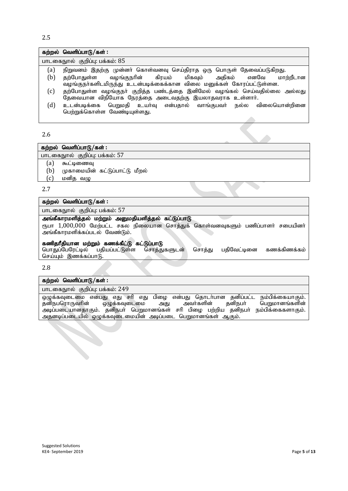2.5

## கற்றல் வெளிப்பாடு/கள் :

பாடகைநூல் குறிப்பு: பக்கம்: 85

- (a) நிறுவனம் இதற்கு முன்னர் கொள்வனவு செய்திராத ஒரு பொருள் தேவைப்படுகிறது.
- (b) தற்போதுள்ள வழங்குநரின் கிரயம் மிகவும் அதிகம் எனவே மாற்றீடான ்வழங்குநாகளிடமிருந்து உடன்படிக்கைக்கான விலை மனுக்கள் கோரப்பட்டுள்ளன.
- (c) தற்போதுள்ள வழங்குநா் குறித்த பண்டத்தை இனிமேல் வழங்கல் செய்வதில்லை அல்லது தேவையான விநியோக நேரத்தை அடைவதற்கு இயலாதவராக உள்ளார்.
- $(d)$  உடன்படிக்கை பெறுமதி உயர்வு என்பதால் வாங்குபவர் நல்ல விலையொன்றினை பெற்றுக்கொள்ள வேண்டியுள்ளது.

#### 2.6

## கற்றல் வெளிப்பாடு/கள் : பாடகைநூல் குறிப்பு: பக்கம்: 57

 $(a)$  கூட்டிணைவு

- $(b)$  (முகாமையின் கட்டுப்பாட்டு மீறல்
- $(c)$  மனித வழு

2.7

#### கற்றல் வெளிப்பாடு/கள் :

பாடகைநூல் குறிப்பு: பக்கம்: 57

#### அங்கீகாரமளித்தல் மற்றும் அனுமதியளித்தல் கட்டுப்பாடு

ரூபா 1,000,000 மேற்பட்ட சகல நிலையான சொத்துக் கொள்வனவுகளும் பணிப்பாளர் சபையினர் அங்கீகாரமளிக்கப்படல் வேண்டும்.

## கணிதரீதியான மற்றும் கணக்கீட்டு கட்டுப்பாடு

பொதுப்பேரேட்டில் பதியப்பட்டுள்ள சொத்துகளுடன் சொத்து பதிவேட்டினை கணக்கிணக்கம் செய்யும் இணக்கப்பாடு.

#### 2.8

#### கற்றல் வெளிப்பாடு/கள் :

பாடகைநூல் குறிப்பு: பக்கம்: 249

ஒழுக்கவுடைமை என்பது எது சரி எது பிழை என்பது தொடர்பான தனிப்பட்ட நம்பிக்கையாகும்.<br>தனிநபரொருவரின் ஒழுக்கவுடைமை அது அவர்களின் தனிநபர் பெறுமானங்களின் தனிநபரொருவரின் ஒழுக்கவுடைமை அது அவர்களின் தனிநபர் பெறுமானங்களின் அடிப்படையானதாகும். தனிநபா் பெறுமானங்கள் சாி பிழை பற்றிய தனிநபா் நம்பிக்கைகளாகும். அத்னடிப்படையில் ஒழுக்கவுடைமையின் அடிப்படை பெறுமானங்கள் ஆகும்.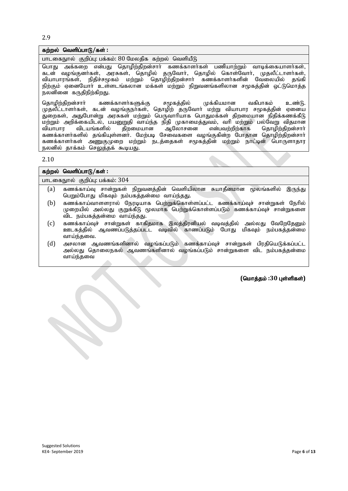2.9

#### கற்றல் வெளிப்பாடு/கள் :

பாடகைநூல் குறிப்பு: பக்கம்: 80 மேலதிக கற்றல் வெளியீடு

பொது அக்கறை என்பது தொழிற்திறன்சார் கணக்காளர்கள் பணியாற்றும் வாடிக்கையாளர்கள், கடன் வழங்குனாகள், அரசுகள், தொழில் தருவோா், தொழில் கொள்வோா், முதலீட்டாளா்கள், வியாபாரங்கள், நிதிச்சமூகம் மற்றும் தொழிற்திறன்சார் கணக்காளர்களின் வேலையில் தங்கி நிற்கும் ஏனையோர் உள்ளடங்கலான மக்கள் மற்றும் நிறுவனங்களிலான சமூகத்தின் ஒட்டுமொத்த . . .<br>நலனினை கருதிநிற்கிறது.

தொழிற்திறன்சாா் கணக்காளா்களுக்கு சமூகத்தில் முக்கியமான வகிபாகம் உண்டு. முதலீட்டாளர்கள், கடன் வழங்குநர்கள், தொழிற் தருவோர் மற்று வியாபார சமூகத்தின் ஏனைய ு,<br>துறைகள், அதுபோன்று அரசுகள் மற்றும் பெருவாரியாக பொதுமக்கள் திறமையான நிதிக்கணக்கீடு மற்றும் அறிக்கையிடல், பயனுறுதி வாய்ந்த நிதி முகாமைத்துவம், வரி மற்றும் பல்வேறு விதமான<br>வியாபார விடயங்களில் திறமையான ஆலோசனை என்பவற்றிற்காக தொழிற்திறன்சாா் வியாபார விடயங்களில் திறமையான ஆலோசனை என்பவற்றிற்காக தொழிற்திறன்சார் கணக்காளர்களில் தங்கியுள்ளனர். மேற்படி சேவைகளை வழங்குகின்ற போதான தொழிற்திறன்சார் கணக்காளா்கள் அணுகுமுறை மற்றும் நடத்தைகள் சமூகத்தின் மற்றும் நாட்டின் பொருளாதார நலனில் தாக்கம் செலுத்தக் கூடியது.

2.10

|     | கற்றல் வெளிப்பாடு/கள் :                                                                                                                                                                     |
|-----|---------------------------------------------------------------------------------------------------------------------------------------------------------------------------------------------|
|     | பாடகைநூல் குறிப்பு: பக்கம்: 304                                                                                                                                                             |
| (a) | கணக்காய்வு சான்றுகள் நிறுவனத்தின் வெளியிலான சுயாதீனமான மூலங்களில்<br>இருந்து<br>பெறும்போது மிகவும் நம்பகத்தன்மை வாய்ந்தது.                                                                  |
| (b) | கணக்காய்வாளளரால் நேரடியாக பெற்றுக்கொள்ளப்பட்ட கணக்காய்வுச் சான்றுகள் நேரில்<br>முறையில் அல்லது குறுக்கீடு மூலமாக பெற்றுக்கொள்ளப்படும் கணக்காய்வுச் சான்றுகளை<br>விட நம்பகத்தன்மை வாய்ந்தது. |
| (c) | கணக்காய்வுச் சான்றுகள் காகிதமாக இலத்திரனியல் வடிவத்தில் அல்லது வேறேதேனும்<br>ஊடகத்தில் ஆவணப்படுத்தப்படட வடிவில் காணப்படும் போது மிகவும் நம்பகத்தன்மை<br>வாய்ந்தவை.                          |
| (d) | அசலான ஆவணங்களினால் வழங்கப்படும் கணக்காய்வுச் சான்றுகள் பிரதியெடுக்கப்பட்ட<br>அல்லது தொலைநகல் ஆவணங்களினால் வழங்கப்படும் சான்றுகளை விட நம்பகத்தன்மை<br>வாய்ந்தவை                              |

 $($ மொத்தம் :30 புள்ளிகள்)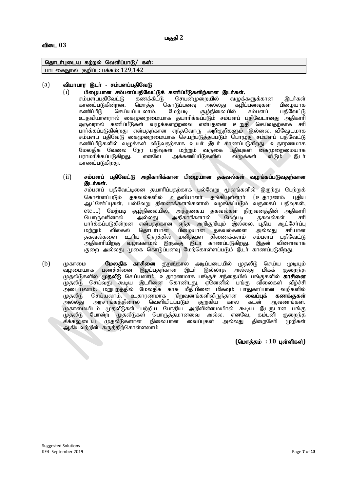## தொடர்புடைய கற்றல் வெளிப்பாடு/ கள்:

பாடகைநூல் குறிப்பு: பக்கம்: 129,142

#### $(a)$  வியாபார இடர் - சம்பளப்பதிவேடு

(i) பிழையான சம்பளப்பதிவேட்டுக் கணிப்பீடுகளிற்கான இடர்கள்.<br>சம்பளப்பதிவேட்டு கணக்கீட்டு செயன்முறையில் வழுக்களுக்கான

சம்பளப்பதிவேட்டு கணக்கீட்டு செயன்முறையில் வழுக்களுக்கான இடர்கள்<br>காணப்படுகின்றன. மொத்த கொடுப்பனவு அல்லது கழிப்பனவுகள் பிழையாக காணப்படுகின்றன. மொத்த கொடுப்பனவு அல்லது கழிப்பனவுகள் பிழையாக<br>கணிப்பீடு செய்யப்படலாம். மேற்படி சூழ்நிலையில் சம்பளப் பதிவேட்டு ்செய்யப்படலாம். உதவியாளரால் கைமுறைமையாக தயாரிக்கப்படும் சம்பளப் பதிவோனது அதிகாரி ஒருவரால் கணிப்பீடுகள் வழுக்களற்றவை என்பதனை உறுதி செய்வதற்காக சரி ு<br>பார்க்கப்படுகின்றது என்பதற்கான எந்தவொரு அறிகுறிகளும் இல்லை. விஷேடமாக சம்பளப் பதிவேடு கைமுறைமையாக செயற்படுத்தப்படும் பொழுது சம்பளப் பதிவேட்டு கணிப்பீடுகளில் வழுக்கள் விடுவதற்காக உயர் இடர் காணப்படுகிறது. உதாரணமாக மேலதிக வேலை நேர பதிவுகள் மற்றும் வருகை பதிவுகள் கைமுறைமையாக<br>பராமரிக்கப்படுகிறது. எனவே அக்கணிப்பீடுகளில் வழுக்கள் விடும் இடர்  $\delta$ எனவே அக்கணிப்பீடுகளில் காணப்படுகிறது.

#### $(ii)$  சம்பளப் பதிவேட்டு அதிகாரிக்கான பிழையான தகவல்கள் வழங்கப்படுவதற்கான இடர்கள்.

,<br>சம்பளப் பகிவேட்டினை தயாரிப்பதற்காக பல்வேறு மூலங்களில் இருந்து பெற்றுக் கொள்ளப்படும் ககவல்களில் உகவியாளர் கங்கியுள்ளார் (உகாரணம்: பகிய ஆட்சோ்ப்புகள், பல்வேறு திணைக்களங்களால் வழங்கப்படும் வருகைப் பதிவுகள், etc….) மேற்படி சூழ்நிலையில், அத்தகைய தகவல்கள் நிறுவனத்தின் அதிகாரி<br>யொருவரினால் அல்லது அதிகாரிகளால் மேற்படி தகவல்கள் சரி அதிகாரிகளால் மேற்படி தகவல்கள் சரி பார்க்கப்படுகின்றன என்பதற்கான எந்த அறிகுறியும் இல்லை. புதிய ஆட்சேர்ப்பு<br>மற்றும் விலகல் தொடர்பான பிமையான ககவல்களை அல்லது சரியான மற்றும் விலகல் தொடர்பான பிழையான தகவல்களை தகவல்களை உரிய நேரத்தில் மனிதவள திணைக்களம் சம்பளப் பதிவேட்டு அதிகாரியிற்கு வழங்காமல் இருக்கு இடர் காணப்படுகிறது. இதன் விளைவாக குறை அல்லது முகை கொடுப்பனவு மேற்கொள்ளப்படும் இடர் காணப்படுகிறது.

(b) முகாமை **மேலதிக காசினை** குறுங்கால அடிப்படையில் முதலீடு செய்ய முடியும்<br>வழமையாக பணத்தினை இழப்பதற்கான இடர் இல்லாத அல்லது மிகக் குறைந்த பணத்தினை இழப்பதற்கான இடர் இல்லாத அல்லது மிகக் குறைந்த முதலீடுகளில் **முதலீடு** செய்யலாம். உதாரணமாக பங்குச் சந்தையில் பங்குகளில் **காசினை** முதலீடு செய்வது கூடிய இடரினை கொண்டது, ஏனெனில் பங்கு விலைகள் வீழ்ச்சி அடையலாம். மறுபுறத்தில் மேலதிக காசு மீதியினை மிகவும் பாதுகாப்பான வழிகளில்<br>முதலீடு செய்யலாம். உதாரணமாக நிறுவனங்களிலிருந்தான **வைப்புக் கணக்குகள்** முதலீடு செய்யலாம். உதாரணமாக நிறுவனங்களிலிருந்தான **வைப்புக் கணக்குகள்**<br>அல்லது அரசாங்கத்தினால் வெளியிடப்படும் குறுகிய கால கடன் ஆவணங்கள். அரசாங்கத்தினால் வெளியிடப்படும் குறுகிய முகாமையிடம் முதலீடுகள் பற்றிய போதிய அறிவின்மையிால் கூடிய இடருடான பங்கு முதலீடு போன்ற முதலீடுகள் பொருத்தமானவை அல்ல. எனவே, கம்பனி குறைந்த<br>சிக்கலுடைய முதலீடுகளான நிலையான வைப்புகள் அல்லது திறைசேரி முறிகள் சிக்கலுடைய முதலீடுகளான நிலையான வைப்புகள் அல்லது திறைசேரி ஆகியவற்றின் கருத்திற்கொள்ளலாம்

 $(Gurāsab : 10 inim<sub>5</sub> s$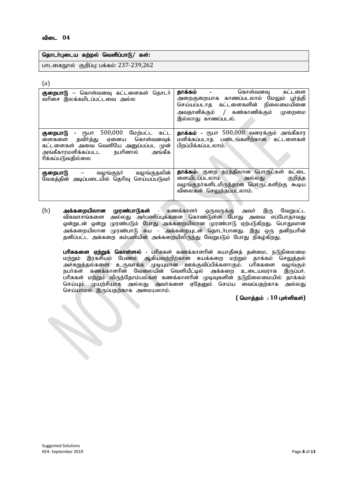#### விடை 04

| தொடா்புடைய கற்றல் வெளிப்பாடு/ கள்:      |  |
|-----------------------------------------|--|
| பாடகைநூல் குறிப்பு: பக்கம்: 237-239,262 |  |

| P. |         |
|----|---------|
| ۰. |         |
|    | ٠<br>۰. |

| குறைபாடு – கொள்வனவு கட்டளைகள் தொடர்<br>வரிசை இலக்கமிடப்பட்டவை அல்ல                                                                                                                           | தாக்கம்<br>கொள்வனவு<br>கட்டளை<br>$\blacksquare$<br>அறைகுறையாக காணப்படலாம் மேலும் பூர்த்தி<br>செய்யப்படாத கட்டளைகளின் நிலைமையினை<br>அவதானிக்கும் / கண்காணிக்கும்<br>முறைமை<br>இல்லாது காணப்படல். |
|----------------------------------------------------------------------------------------------------------------------------------------------------------------------------------------------|-------------------------------------------------------------------------------------------------------------------------------------------------------------------------------------------------|
| 500,000<br>மேற்பட்ட கட்ட<br>குறைபாடு<br>₫ҦШП<br>தவிா்த்து ஏனைய கொள்வனவுக்<br>ளைகளை<br>கட்டளைகள் அவை வெளியே அனுப்பப்பட முன்<br>நபரினால்<br>அங்கீகாரமளிக்கப்படட<br>அங்கீக<br>ரிக்கப்படுவதில்லை | தாக்கம் - ரூபா 500,000 வரைக்கும் அங்கீகார<br>மளிக்கப்படாத பண்டங்களிற்கான கட்டளைகள்<br>பிறப்பிக்கப்படலாம்.                                                                                       |
| வழங்குநா்<br>வழங்குதலின்<br>குறைபாடு<br>வேகத்தின் அடிப்படையில் தெரிவு செய்யப்படுவர்                                                                                                          | தாக்கம்- குறை தரத்திலான பொருட்கள்<br>கட்டை<br>ளையிடப்படலாம்<br>குறித்த<br>அல்லது<br>வழங்குநா்களிடமிருந்தான பொருட்களிற்கு<br>கூடிய<br>விலைகள் செலுத்தப்படலாம்.                                   |

(b) அக்கறையிலான முரண்பாடுகள் - கணக்காளர் ஒருவருக்கு அவர் இரு வேறுபட்ட விசுவாசங்களை அல்லது அா்பணிப்புக்களை கொண்டுள்ள போது அவை எப்போதாவது ஒன்றுடன் ஒன்று முரண்படும் போது அக்கறையிலான முரண்பாடு ஏற்படுகிறது. பொதுவான அக்கறையிலான முரண்பாடு சுய — அக்கறையுடன் தொடர்பானது. இது ஒரு தனிநபரின் தனிப்பட்ட அக்கறை கம்பனியின் அக்கறையிலிருந்து வேறுபடும் போது நிகழ்கிறது.

பரிசுகளை ஏற்றுக் கொள்ளல் - பரிசுகள் கணக்காளரின் சுயாதீனத் தன்மை, நடுநிலைமை மற்றும் இரகசியம் பேணல் ஆகியவற்றிற்கான சுயக்கறை மற்றும் தாக்கம் செலுத்தல் அச்சுறுத்தல்களை உருவாக்க முடியுமான ஊக்குவிப்பிக்களாகும். பரிசுகளை வழங்கும் நபர்கள் கணக்காளரின் வேலையின் வெளியீட்டில் அக்கறை உடையவராக இருப்பர். .<br>பரிசுகள் மற்றும் விருந்தோம்பல்கள் கணக்காளரின் முடிவுகளின் நடுநிலைமையில் தாக்கம் செய்யும் முயற்சியாக அல்லது அவா்களை ஏதேனும் செய்ய வைப்பதற்காக அல்லது செய்யாமல் இருப்பதற்காக அமையலாம்.

 $($  மொத்தம் : 10 புள்ளிகள்)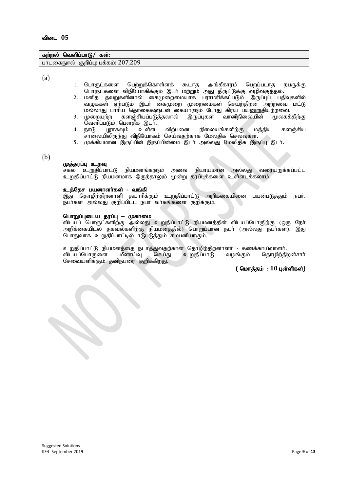## கற்றல் வெளிப்பாடு/ கள்:

பாடகைநூல் குறிப்பு: பக்கம்:  $207,209$ 

(a)

- 1. பொருட்களை பெற்றுக்கொள்ளக் கூடாத அங்கீகாரம் பெறப்படாத நபருக்கு பொருட்களை விநியோகிக்கும் இடா் மற்றும் அது திருட்டுக்கு வழிவகுத்தல்.
- 2. மனித தவறுகளினால் கைமுறைமையாக பராமரிக்கப்படும் இருப்புப் பதிவுகளில் வழுக்கள் ஏற்படும் இடர் கைமுறை முறைமைகள் செயற்திறன் அற்றவை மட்டு மல்லாது பாரிய தொகைகளுடன் கையாளும் போது கிரய பயனுறுதியற்றவை.<br>முறையற்ற களஞ்சியப்படுத்தலால் இருப்பகள் வானிநிலையின் மூலகத்திற்கு
- 3. முறையற்ற களஞ்சியப்படுத்தலால் இருப்புகள் .<br>வெளிப்படும் பௌதீக இடா்.<br>நாடு யூாகவும் உள்ள
- 4. நாடு பூராகவும் உள்ள விற்பனை நிலையங்களிற்கு மத்திய களஞ்சிய சாலையிலிருந்து விநியோகம் செய்வதற்காக மேலதிக செலவுகள்.
- 5. முக்கியமான இருப்பின் இருப்பின்மை இடா் அல்லது மேலிதிக இருப்பு இடா்.

(b)

#### முத்தரப்பு உறவு

சகல உறுதிப்பாட்டு நியமனங்களும் அவை நியாயமான அல்லது வரையறுக்கப்பட்ட உறுதிப்பாட்டு நியமனமாக இருந்தாலும் மூன்று தரப்புக்களை உள்ளடக்கலாம்.

#### உத்தேச பயனாளர்கள் - வங்கி

இது தொழிற்திறனாளி தயாரிக்கும் உறுதிப்பாட்டு அறிக்கையினை பயன்படுத்தும் நபர். நபர்கள் அல்லது குறிப்பிட்ட நபர் வர்கங்களை குறிக்கும்.

#### பொறுப்புடைய தரப்பு – முகாமை

விடயப் பொருட்களிற்கு அல்லது உறுதிப்பாட்டு நியமனத்தின் விடயப்பொருிற்கு (ஒரு நோ் அறிக்கையிடல் தகவல்களிற்கு நியமனத்தில்) பொறுப்பான நபர் (அல்லது நபர்கள்). இது பொதுவாக உறுதிப்பாட்டில் ஈடுபடுத்தும் கமபனியாகும்.

உறுதிப்பாட்டு நியமனத்தை நடாத்துவதற்கான தொழிற்திறனாளர் - கணக்காய்வாளர்.<br>விடயப்பொருளை மீளாய்வு செய்து உறுதிப்பாடு வழங்கும் தொழிற்திறன்சார் விடயப்பொருளை மீளாய்வு சேவையளிக்கும் தனிநபரை குறிக்கிறது.

 $($  மொத்தம் : 10 புள்ளிகள்)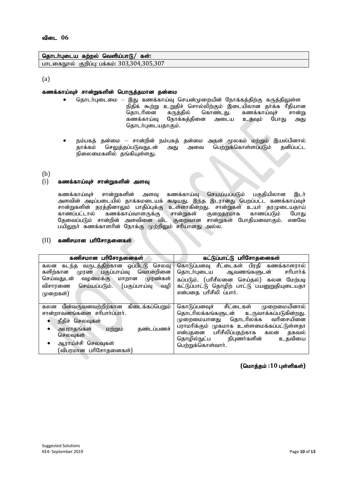#### தொடர்புடைய கற்றல் வெளிய்பாடு/ கள்:

பாடகைநூல் குறிப்பு: பக்கம்: 303,304,305,307

(a)

#### கணக்காய்வுச் சான்றுகளின் பொருத்தமான தன்மை

- தொடர்புடைமை இது கணக்காய்வு செயன்முறையின் நோக்கக்கிற்கு கருக்கிலுள்ள நிதிக் கூற்று உறுதிச் சொல்லிற்கும் இடையிலான தாக்க ரீதியான<br>தொடரினை கருத்தில் கொண்டது. கணக்காய்வுச் சான்று தொடரினை கருத்தில் கொண்டது. கணக்காய்வுச் சான்று<br>கணக்காய்வு நோக்கத்தினை அடைய உதவும் போது அது நோக்கத்தினை தொடர்புடையதாகும்.
- நம்பகத் தன்மை சான்றின் நம்பகத் தன்மை அதன் மூலகம் மற்றும் இயல்பினால்<br>காக்கம் செலுக்கப்படுவகுடன் அகுட அவை பெற்றுக்கொள்ளப்படும் கனிப்பட்ட பெற்றுக்கொள்ளப்படும் நிலைமைகளில் தங்கியுள்ளது.
- (b)

#### $(i)$  கணக்காய்வுச் சான்றுகளின் அளவு

கணக்காய்வுச் சான்றுகளின் அளவு கணக்காய்வு செயய்யப்படும் பகுதியிலான இடா் அளவின் அடிப்படையில் தாக்கமடையக் கூடியது. இந்த இடரானது பெறப்பட்ட கணக்காய்வுச் சான்றுகளின் தரத்தினாலும் பாதிப்புக்கு உள்ளாகின்றது. சான்றுகள் உயர் தரமுடையதாய்<br>காணப்பட்டால் கணக்காய்வாளருக்கு சான்றுகள் குறைதரமாக காணப்படும் போது .<br>கணக்காய்வாளருக்கு தேவைப்படும் சான்றின் அளவினை விட குறைவான சான்றுகள் போதியனவாகும். எனவே பயிலுநா் கணக்காளரின் நோக்கு முற்றிலும் சரியானது அல்ல.

#### $(II)$  கணிசமான பரிசோதனைகள்

| கணிசமான பரிசோதனைகள்                                                                                                                                                                                               | கட்டுப்பாட்டு பரிசோதனைகள்                                                                                                                                                                                                                                                |
|-------------------------------------------------------------------------------------------------------------------------------------------------------------------------------------------------------------------|--------------------------------------------------------------------------------------------------------------------------------------------------------------------------------------------------------------------------------------------------------------------------|
| கடந்த வருடத்திற்கான ஒப்பிடடு செலவு<br>கலன<br>முரண் பகுப்பாய்வு வொன்றினை<br>களிற்கான<br>செய்வதுடன்<br>வழமைக்கு மாறான<br>முரண்கள்<br>செய்யப்படும்.<br>(பகுப்பாய்வு<br>விசாரணை<br>்வழி ।<br>முறைகள்)                 | கொடுப்பனவு சீட்டைகள் பிரதி கணக்காளரால்<br>தொடர்புடைய ஆவணங்களுடன்<br>சரிபார்க்<br>கப்படும். (பரிசீலனை செய்தல்) கலன மேற்படி<br>கட்டுப்பாட்டு தொழிற் பாட்டு பயனுறுதியுடையதா<br>என்பதை பரிசீலி ப்பார்.                                                                       |
| பின்வருவனவற்றிற்கான கிடைக்கப்பெறும்<br>கலன<br>சான்றாவனங்களை சரிபார்ப்பார்.<br>நீதிச் செலவுகள்<br>அபராதங்கள்<br>மற்றும்<br>தண்டப்பணச்<br>$\bullet$<br>செலவுகள்<br>ஆராய்ச்சி செலவுகள்<br>٠<br>(விபரமான பரிசோதனைகள்) | கொடுப்பனவுச் சிட்டைகள்<br>முறைமையினால்<br>தொடரிலக்கங்களுடன் உருவாக்கப்படுகின்றது.<br>தொடரிலக்க வரிசையினை<br>முறைமையானது<br>பராமரிக்கும் முகமாக உள்ளமைக்கப்பட்டுள்ளதா<br>என்பதனை பரிசீலிப்பதற்காக கலன<br>தகவல்<br>தொழில்நுட்ப நிபுணர்களின்<br>உதவியை<br>பெற்றுக்கொள்வார். |

 $($ மொத்தம் :10 புள்ளிகள்)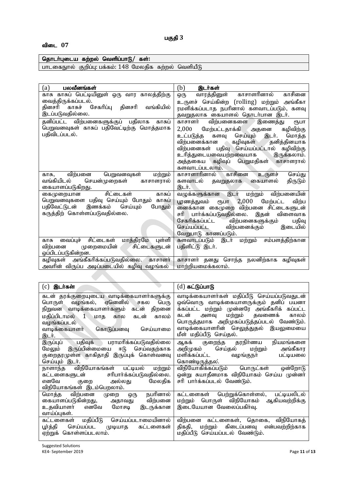# தொடர்புடைய கற்றல் வெளிப்பாடு/ கள்:

ghlifEhy; Fwpg;G: gf;fk;: 148 Nkyjpf fw;wy; ntspaPL

| (a)<br>பலவீனங்கள்                                  | (b)<br>இடர்கள்                                    |
|----------------------------------------------------|---------------------------------------------------|
| காசு காசுப் பெட்டியினுள் ஒரு வார காலத்திற்கு       | காசாளரினால்<br>காசினை<br>வாரத்தினுள்<br>ஒரு       |
| வைத்திருக்கப்படல்.                                 | உருளச் செய்கின்ற (rolling) மற்றும் அங்கீகா        |
| தினசரி காசுச் சேகரிப்பு<br>தினசரி<br>வங்கியில்     | ரமளிக்கப்படாத நபரினால் களவாடப்படும், களவு         |
| இடப்படுவதில்லை.                                    | தவறுதலாக கையாளல் தொடர்பான இடர்.                   |
| தனிப்பட்ட விற்பனைகளுக்குப் பதிலாக<br>காசுப்        | விற்பனைகளை<br>காசாளர்<br>இணைத்து<br>₹ҦШП          |
| பெறுவனவுகள் காசுப் பதிவேட்டிற்கு மொத்தமாக          | 2,000<br>மேற்பட்டதாக்கி அதனை<br>கழிவிற்கு         |
| பதிவிடப்படல்.                                      | செய்யும் இடர்.<br>உட்படுத்த<br>மொத்த<br>களவு      |
|                                                    | தனித்தினயாக<br>விற்பனைக்கான<br>ு கழிவுகள்         |
|                                                    | விற்பனைகள் பதிவு செய்யப்பட்டால் கழிவிற்கு         |
|                                                    | உரித்துடையவையற்றவையாக<br>இருக்கலாம்.              |
|                                                    | கழிவுப் பெறுமதிகள் காசாளரால்<br>அத்தகைய           |
|                                                    | களவாடப்படலாம்.                                    |
| விற்பனை<br>பெறுவனவுகள்<br>மற்றும்<br>காசு,         | காசினை<br>காசாளாரினால்<br>உருளச்<br>செய்து        |
| செயன்முறைகள்<br>வங்கியிடல்<br>காசாளரால்            | களவாடல்<br>திருடும்<br>தவறுதலாக கையாளல்           |
| கையாளப்படுகிறது.                                   | இடர்.`                                            |
| சிட்டைகள்<br>காசுப்<br>கைமுறையான                   | விற்பனையின்<br>வழுக்களுக்கான இடர்<br>மற்றும்      |
| பெறுவனவுகளை பதிவு செய்யும் போதும்<br>காசுப்        | 2,000<br>மேற்பட்ட<br>விற்ப<br>பூரணத்துவம்<br>ரூபா |
| இணக்கம் செய்யும்<br>பதிவேட்டுடன்<br>போதும்         | னைக்கான கைமுறை விற்பனை சிட்டைகளுடன்               |
| கருத்திற் கொள்ளப்படுவதில்லை.                       | விளைவாக<br>சரி பார்க்கப்படுவதில்லை.<br>இதன்       |
|                                                    | சேகரிக்கப்பட்ட<br>விற்பனைகளுக்கும்<br>பதிவு       |
|                                                    | விற்பனைக்கும்<br>செய்யப்பட்ட<br>இடையில்           |
|                                                    | வேறுபாடு காணப்படும்.                              |
| மாத்திரமே<br>சிட்டைகள்<br>வைப்பச்<br>பள்ளி<br>காசு | களவாடப்படும் இடர்<br>மற்றும்<br>சம்பளத்திற்கான    |
| முறைமையின்<br>விற்பனை<br>சிட்டைகளுடன்              | பதிளிட்டு இடர்.                                   |
| ஒப்பிடப்படுகின்றன.                                 |                                                   |
| கழிவுகள் அங்கீகரிக்கப்படுவதில்லை. காசாளர்          | காசாளா் தனது சொந்த நலனிற்காக கழிவுகள்             |
| அவரின் விருப்ப அடிப்படையில் கழிவு வழங்கல்          | மாற்றியமைக்கலாம்.                                 |

| இடர்கள்<br>(c)                                                                                                                                                                                                                       | (d) <b>கட்டுப்பாடு</b>                                                                                                                                                                                                                                                                              |
|--------------------------------------------------------------------------------------------------------------------------------------------------------------------------------------------------------------------------------------|-----------------------------------------------------------------------------------------------------------------------------------------------------------------------------------------------------------------------------------------------------------------------------------------------------|
| கடன் தரக்குறையுடைய வாடிக்கையாளர்களுக்கு<br>பொருள் வழங்கல், ஏனெனில் சகல<br>பெரு<br>நிறுவன வாடிக்கையாளர்களும் கடன் திறனை<br>மதிப்பிடாமல் 1 மாத<br>காலம்<br>கடன்<br>கால<br>வழங்கப்படல்<br>வாடிக்கையாளர் கொடுப்பனவு<br>செய்யாமை<br>இடர். | வாடிக்கையாளர்கள் மதிப்பீடு செய்யப்படுவதுடன்<br>ஒவ்வொரு வாடிக்கையாளருக்கும் தனிப் பயனா<br>க்கப்பட்ட மற்றும் முன்னரே அங்கீகரிக் கப்பட்ட<br>மற்றும்<br>தவணைக்<br>கடன்<br>அளவு<br>காலம்<br>பொருத்தமாக அறிமுகப்படுத்தப்படல் வேண்டும்.<br>வாடிக்கையாளரின் செலுத்துதல் இயலுமையை<br>மீள் மதிப்பீடு செய்தல். |
| ் பதிவுக் பராமரிக்கப்படுவதில்லை<br>இருப்புப்<br>இருப்பின்மையை<br>செய்வதற்காக<br>ஈடு<br>மேலும்<br>குறைதரமுள்ள காகிதாதி இருப்புக் கொள்வனவு<br>செய்யும் இடர்.                                                                           | தரநிா்ணய<br>நியமங்களை<br>ஆகக் குறைந்த<br>அங்கீகார<br>செய்தல்<br>மற்றும்<br>அறிமுகம்<br>மளிக்கப்பட்ட<br>வழங்குநா்<br>பட்டியலை<br>கொண்டிருத்தல.                                                                                                                                                       |
| விநியோகங்கள் பட்டியல்<br>மற்றும்<br>நாளாந்த<br>கட்டளைகளுடன் சரிபார்க்கப்படுவதில்லை.<br>எனவே<br>குறை அல்லது<br>மேலகிக<br>விநியோகங்கள் இடம்பெறலாம்.                                                                                    | விநியோகிக்கப்படும் பொருட்கள்<br>ஒன்றோடு<br>ஒன்று சுயாதீனமாக விநியோகம் செய்ய முன்னா்<br>சரி பார்க்கப்படல் வேண்டும்.                                                                                                                                                                                  |
| நபரினால்<br>மொத்த விற்பனை<br>முறை<br>ஒரு<br>கையாளப்படுகின்றது,<br>விற்பனை<br>அதாவது<br>உதவியாளர் எனவே<br>மோசடி<br>இடருக்கான<br>வாய்ப்புகள்.                                                                                          | கட்டளைகள் பெற்றுக்கொள்ளல், பட்டியலிடல்<br>மற்றும் பொருள் விநியோகம் ஆகியவற்றிக்கு<br>இடையேயான வேலைப்பகிர்வு.                                                                                                                                                                                         |
| செய்யப்படாமையினால்<br>மதிப்பீடு<br>கட்டளைகள்<br>செய்யப்பட முடியாத கட்டளைகள்<br>பூர்த்தி<br>கொள்ளப்படலாம்.<br>ஏற்றுக்                                                                                                                 | விற்பனை கட்டளைகள், தொகை, விநியோகத்<br>மற்றும் கிடைப்பனவு என்பவற்றிற்காக<br>திகதி,<br>செய்யப்படல் வேண்டும்.<br>மதிப்பீடு                                                                                                                                                                             |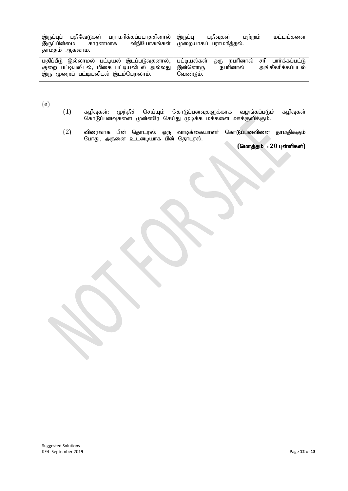| பதிவேடுகள் பராமரிக்கப்படாததினால்<br>இருப்புப்                                                       | இருப்பு<br>பகிவகள்<br>LOMMILO<br>மட்டங்களை                                     |
|-----------------------------------------------------------------------------------------------------|--------------------------------------------------------------------------------|
| இருப்பின்மை<br>காரணமாக                                                                              | விநியோகங்கள்   முறையாகப் பராமரித்தல்.                                          |
| தாமதம் ஆகலாம.                                                                                       |                                                                                |
| மதிப்பீடு இல்லாமல் பட்டியல் இடப்படுவதனால், பட்டியல்கள்<br>குறை பட்டியலிடல், மிகை பட்டியலிடல் அல்லது | சரி பார்க்கப்பட்டு<br>ஒரு நபரினால்<br>அங்கீகரிக்கப்படல்<br>நபரினால்<br>இன்னொரு |
| இரு முறைப் பட்டியலிடல் இடம்பெறலாம்.                                                                 | வேண்டும்.                                                                      |

(e)

- $(1)$  கழிவுகள்: முந்திச் செய்யும் கொடுப்பனவுகளுக்காக வழங்கப்படும் கழிவுகள் கொடுப்பனவுகளை முன்னரே செய்து முடிக்க மக்களை ஊக்குவிக்கும்.
- $(2)$ (2) விரைவாக பின் தொடரல்: ஒரு வாடிக்கையாளர் கொடுப்பனவினை தாமதிக்கும் போது, அதனை உடனடியாக பின் தொடரல்.

 $($ மொத்தம் : 20 புள்ளிகள்)